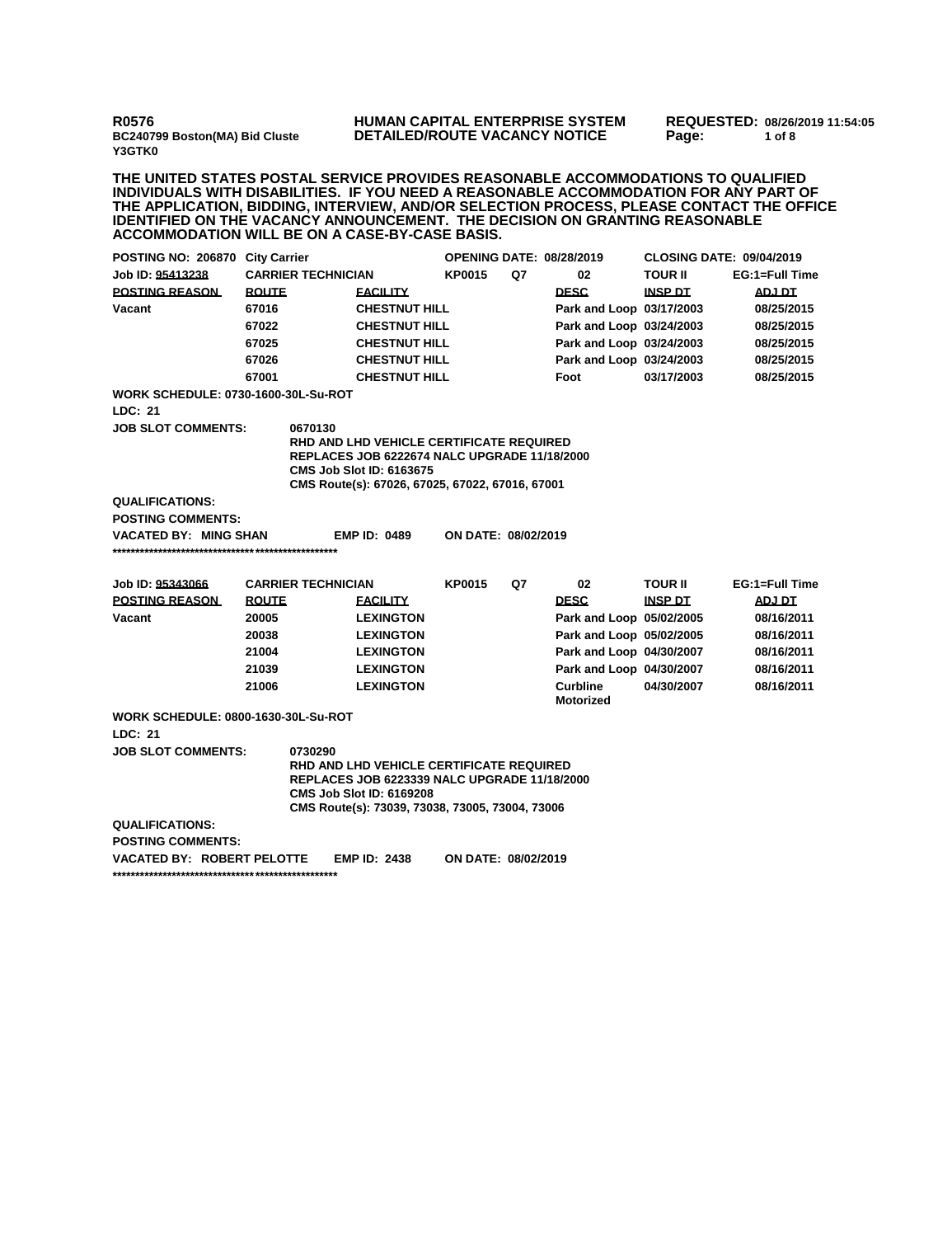**R0576 BC240799 Boston(MA) Bid Cluste Y3GTK0**

## **HUMAN CAPITAL ENTERPRISE SYSTEM DETAILED/ROUTE VACANCY NOTICE**

**REQUESTED: 08/26/2019 11:54:05 Page: 1 of 8** 

**THE UNITED STATES POSTAL SERVICE PROVIDES REASONABLE ACCOMMODATIONS TO QUALIFIED INDIVIDUALS WITH DISABILITIES. IF YOU NEED A REASONABLE ACCOMMODATION FOR ANY PART OF THE APPLICATION, BIDDING, INTERVIEW, AND/OR SELECTION PROCESS, PLEASE CONTACT THE OFFICE IDENTIFIED ON THE VACANCY ANNOUNCEMENT. THE DECISION ON GRANTING REASONABLE ACCOMMODATION WILL BE ON A CASE-BY-CASE BASIS.**

| POSTING NO: 206870 City Carrier            |                           |                                                            | <b>OPENING DATE: 08/28/2019</b>                                                    |                     |    | <b>CLOSING DATE: 09/04/2019</b> |                |                |  |  |
|--------------------------------------------|---------------------------|------------------------------------------------------------|------------------------------------------------------------------------------------|---------------------|----|---------------------------------|----------------|----------------|--|--|
| Job ID: 95413238                           | <b>CARRIER TECHNICIAN</b> |                                                            | <b>KP0015</b>                                                                      | Q7                  | 02 | <b>TOUR II</b>                  | EG:1=Full Time |                |  |  |
| <b>POSTING REASON</b>                      | <b>ROUTE</b>              |                                                            | <b>FACILITY</b>                                                                    |                     |    | <b>DESC</b>                     | <b>INSP DT</b> | <b>ADJ DT</b>  |  |  |
| Vacant                                     | 67016                     |                                                            | <b>CHESTNUT HILL</b>                                                               |                     |    | Park and Loop 03/17/2003        |                | 08/25/2015     |  |  |
|                                            | 67022                     |                                                            | <b>CHESTNUT HILL</b>                                                               |                     |    | Park and Loop 03/24/2003        |                | 08/25/2015     |  |  |
|                                            | 67025                     |                                                            | <b>CHESTNUT HILL</b>                                                               |                     |    | Park and Loop 03/24/2003        |                | 08/25/2015     |  |  |
|                                            | 67026                     |                                                            | <b>CHESTNUT HILL</b>                                                               |                     |    | Park and Loop 03/24/2003        |                | 08/25/2015     |  |  |
|                                            | 67001                     |                                                            | <b>CHESTNUT HILL</b>                                                               |                     |    | Foot                            | 03/17/2003     | 08/25/2015     |  |  |
| <b>WORK SCHEDULE: 0730-1600-30L-Su-ROT</b> |                           |                                                            |                                                                                    |                     |    |                                 |                |                |  |  |
| LDC: 21                                    |                           |                                                            |                                                                                    |                     |    |                                 |                |                |  |  |
| <b>JOB SLOT COMMENTS:</b>                  |                           | 0670130                                                    |                                                                                    |                     |    |                                 |                |                |  |  |
|                                            |                           |                                                            | <b>RHD AND LHD VEHICLE CERTIFICATE REQUIRED</b>                                    |                     |    |                                 |                |                |  |  |
|                                            |                           |                                                            | REPLACES JOB 6222674 NALC UPGRADE 11/18/2000                                       |                     |    |                                 |                |                |  |  |
|                                            |                           |                                                            | <b>CMS Job Slot ID: 6163675</b><br>CMS Route(s): 67026, 67025, 67022, 67016, 67001 |                     |    |                                 |                |                |  |  |
| <b>QUALIFICATIONS:</b>                     |                           |                                                            |                                                                                    |                     |    |                                 |                |                |  |  |
| <b>POSTING COMMENTS:</b>                   |                           |                                                            |                                                                                    |                     |    |                                 |                |                |  |  |
| <b>VACATED BY: MING SHAN</b>               |                           |                                                            | <b>EMP ID: 0489</b>                                                                | ON DATE: 08/02/2019 |    |                                 |                |                |  |  |
|                                            |                           |                                                            |                                                                                    |                     |    |                                 |                |                |  |  |
|                                            |                           |                                                            |                                                                                    |                     |    |                                 |                |                |  |  |
| Job ID: 95343066                           |                           | <b>CARRIER TECHNICIAN</b>                                  |                                                                                    | <b>KP0015</b>       | Q7 | 02                              | <b>TOUR II</b> | EG:1=Full Time |  |  |
| <b>POSTING REASON</b>                      | <b>ROUTE</b>              |                                                            | <b>FACILITY</b>                                                                    |                     |    | <b>DESC</b>                     | <b>INSP DT</b> | <b>ADJ DT</b>  |  |  |
| Vacant                                     | 20005                     |                                                            | <b>LEXINGTON</b>                                                                   |                     |    | Park and Loop 05/02/2005        |                | 08/16/2011     |  |  |
|                                            | 20038                     |                                                            | <b>LEXINGTON</b>                                                                   |                     |    | Park and Loop 05/02/2005        |                | 08/16/2011     |  |  |
|                                            | 21004                     |                                                            | <b>LEXINGTON</b>                                                                   |                     |    | Park and Loop 04/30/2007        |                | 08/16/2011     |  |  |
|                                            | 21039                     |                                                            | <b>LEXINGTON</b>                                                                   |                     |    | Park and Loop 04/30/2007        |                | 08/16/2011     |  |  |
|                                            | 21006                     |                                                            | <b>LEXINGTON</b>                                                                   |                     |    | Curbline                        | 04/30/2007     | 08/16/2011     |  |  |
|                                            |                           |                                                            |                                                                                    |                     |    | <b>Motorized</b>                |                |                |  |  |
| <b>WORK SCHEDULE: 0800-1630-30L-Su-ROT</b> |                           |                                                            |                                                                                    |                     |    |                                 |                |                |  |  |
| LDC: 21                                    |                           |                                                            |                                                                                    |                     |    |                                 |                |                |  |  |
| <b>JOB SLOT COMMENTS:</b>                  |                           | 0730290<br><b>RHD AND LHD VEHICLE CERTIFICATE REQUIRED</b> |                                                                                    |                     |    |                                 |                |                |  |  |
|                                            |                           |                                                            | <b>REPLACES JOB 6223339 NALC UPGRADE 11/18/2000</b>                                |                     |    |                                 |                |                |  |  |
|                                            |                           |                                                            | <b>CMS Job Slot ID: 6169208</b>                                                    |                     |    |                                 |                |                |  |  |
|                                            |                           |                                                            | CMS Route(s): 73039, 73038, 73005, 73004, 73006                                    |                     |    |                                 |                |                |  |  |
| <b>QUALIFICATIONS:</b>                     |                           |                                                            |                                                                                    |                     |    |                                 |                |                |  |  |
| <b>POSTING COMMENTS:</b>                   |                           |                                                            |                                                                                    |                     |    |                                 |                |                |  |  |
| VACATED BY: ROBERT PELOTTE                 |                           |                                                            | <b>EMP ID: 2438</b>                                                                | ON DATE: 08/02/2019 |    |                                 |                |                |  |  |
|                                            |                           |                                                            |                                                                                    |                     |    |                                 |                |                |  |  |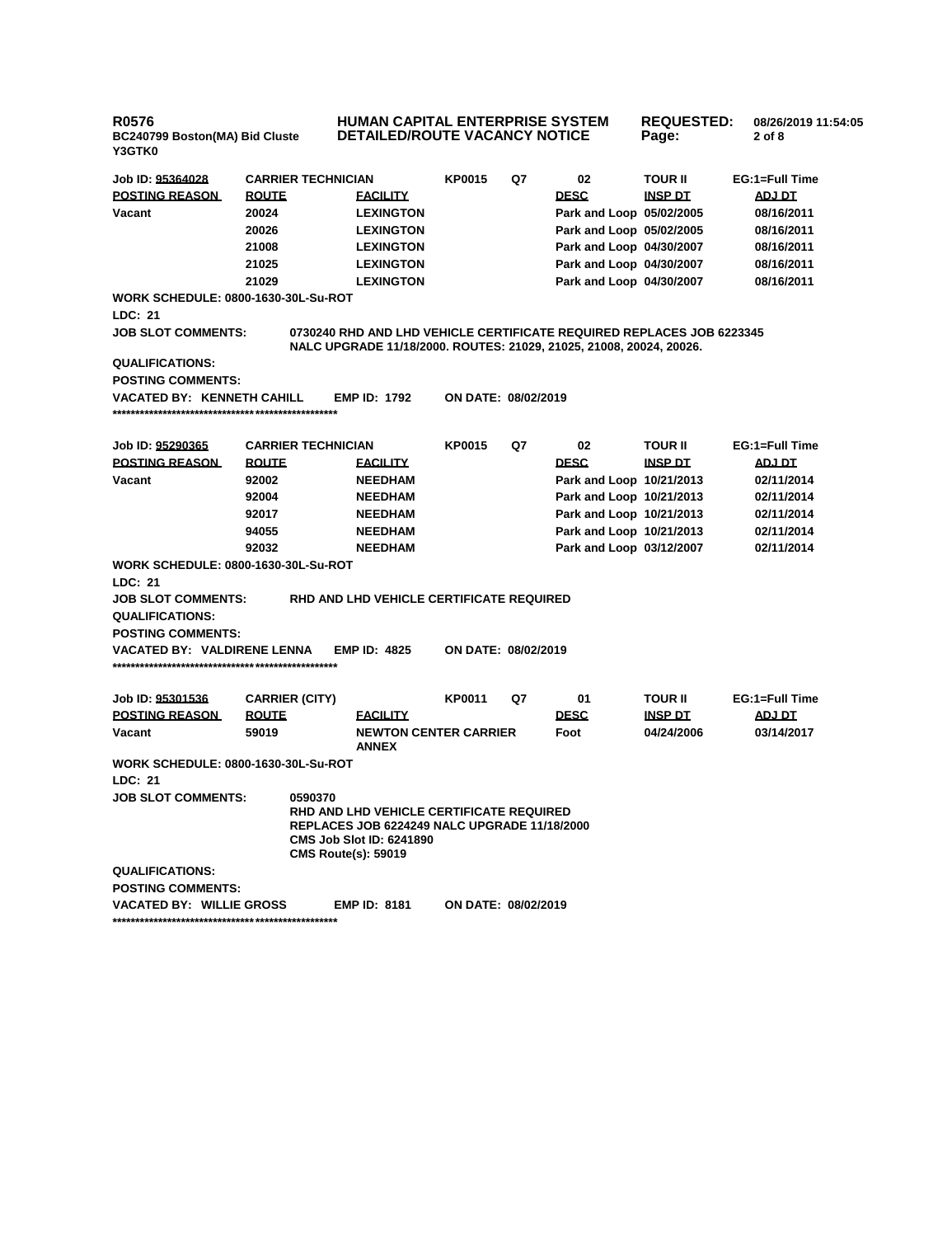| R0576<br>BC240799 Boston(MA) Bid Cluste<br>Y3GTK0     |                       |                                                                                                                                                                                    | <b>HUMAN CAPITAL ENTERPRISE SYSTEM</b><br><b>REQUESTED:</b><br><b>DETAILED/ROUTE VACANCY NOTICE</b><br>Page: |    |                          |                |  | 08/26/2019 11:54:05<br>2 of 8 |
|-------------------------------------------------------|-----------------------|------------------------------------------------------------------------------------------------------------------------------------------------------------------------------------|--------------------------------------------------------------------------------------------------------------|----|--------------------------|----------------|--|-------------------------------|
| Job ID: 95364028                                      |                       | <b>CARRIER TECHNICIAN</b>                                                                                                                                                          | <b>KP0015</b>                                                                                                | Q7 | 02                       | <b>TOUR II</b> |  | EG:1=Full Time                |
| <b>POSTING REASON</b>                                 | <b>ROUTE</b>          | <b>FACILITY</b>                                                                                                                                                                    |                                                                                                              |    | <b>DESC</b>              | <b>INSP DT</b> |  | ADJ DT                        |
| Vacant                                                | 20024                 | <b>LEXINGTON</b>                                                                                                                                                                   |                                                                                                              |    | Park and Loop 05/02/2005 |                |  | 08/16/2011                    |
|                                                       | 20026                 | <b>LEXINGTON</b>                                                                                                                                                                   |                                                                                                              |    | Park and Loop 05/02/2005 |                |  | 08/16/2011                    |
|                                                       | 21008                 | <b>LEXINGTON</b>                                                                                                                                                                   |                                                                                                              |    | Park and Loop 04/30/2007 |                |  | 08/16/2011                    |
|                                                       | 21025                 | <b>LEXINGTON</b>                                                                                                                                                                   |                                                                                                              |    | Park and Loop 04/30/2007 |                |  | 08/16/2011                    |
|                                                       | 21029                 | <b>LEXINGTON</b>                                                                                                                                                                   |                                                                                                              |    | Park and Loop 04/30/2007 |                |  | 08/16/2011                    |
| <b>WORK SCHEDULE: 0800-1630-30L-Su-ROT</b><br>LDC: 21 |                       |                                                                                                                                                                                    |                                                                                                              |    |                          |                |  |                               |
| <b>JOB SLOT COMMENTS:</b>                             |                       | 0730240 RHD AND LHD VEHICLE CERTIFICATE REQUIRED REPLACES JOB 6223345<br>NALC UPGRADE 11/18/2000. ROUTES: 21029, 21025, 21008, 20024, 20026.                                       |                                                                                                              |    |                          |                |  |                               |
| <b>QUALIFICATIONS:</b>                                |                       |                                                                                                                                                                                    |                                                                                                              |    |                          |                |  |                               |
| <b>POSTING COMMENTS:</b>                              |                       |                                                                                                                                                                                    |                                                                                                              |    |                          |                |  |                               |
| VACATED BY: KENNETH CAHILL                            |                       | <b>EMP ID: 1792</b>                                                                                                                                                                | ON DATE: 08/02/2019                                                                                          |    |                          |                |  |                               |
| Job ID: 95290365                                      |                       | <b>CARRIER TECHNICIAN</b>                                                                                                                                                          | <b>KP0015</b>                                                                                                | Q7 | 02                       | <b>TOUR II</b> |  | EG:1=Full Time                |
| <b>POSTING REASON</b>                                 | <b>ROUTE</b>          | <b>FACILITY</b>                                                                                                                                                                    |                                                                                                              |    | <b>DESC</b>              | <b>INSP DT</b> |  | <u>ADJ DT</u>                 |
| Vacant                                                | 92002                 | <b>NEEDHAM</b>                                                                                                                                                                     |                                                                                                              |    | Park and Loop 10/21/2013 |                |  | 02/11/2014                    |
|                                                       | 92004                 | <b>NEEDHAM</b>                                                                                                                                                                     |                                                                                                              |    | Park and Loop 10/21/2013 |                |  | 02/11/2014                    |
|                                                       | 92017                 | <b>NEEDHAM</b>                                                                                                                                                                     |                                                                                                              |    | Park and Loop 10/21/2013 |                |  | 02/11/2014                    |
|                                                       | 94055                 | <b>NEEDHAM</b>                                                                                                                                                                     |                                                                                                              |    | Park and Loop 10/21/2013 |                |  | 02/11/2014                    |
|                                                       | 92032                 | <b>NEEDHAM</b>                                                                                                                                                                     |                                                                                                              |    | Park and Loop 03/12/2007 |                |  | 02/11/2014                    |
| WORK SCHEDULE: 0800-1630-30L-Su-ROT                   |                       |                                                                                                                                                                                    |                                                                                                              |    |                          |                |  |                               |
| <b>LDC: 21</b><br><b>JOB SLOT COMMENTS:</b>           |                       | RHD AND LHD VEHICLE CERTIFICATE REQUIRED                                                                                                                                           |                                                                                                              |    |                          |                |  |                               |
| <b>QUALIFICATIONS:</b>                                |                       |                                                                                                                                                                                    |                                                                                                              |    |                          |                |  |                               |
| <b>POSTING COMMENTS:</b>                              |                       |                                                                                                                                                                                    |                                                                                                              |    |                          |                |  |                               |
| VACATED BY: VALDIRENE LENNA                           |                       | <b>EMP ID: 4825</b>                                                                                                                                                                | ON DATE: 08/02/2019                                                                                          |    |                          |                |  |                               |
|                                                       |                       |                                                                                                                                                                                    |                                                                                                              |    |                          |                |  |                               |
| Job ID: <u>95301536</u>                               | <b>CARRIER (CITY)</b> |                                                                                                                                                                                    | KP0011                                                                                                       | Q7 | 01                       | <b>TOUR II</b> |  | EG:1=Full Time                |
| <b>POSTING REASON</b>                                 | <b>ROUTE</b>          | <b>FACILITY</b>                                                                                                                                                                    |                                                                                                              |    | <b>DESC</b>              | <b>INSP DT</b> |  | ADJ DT                        |
| Vacant                                                | 59019                 | <b>NEWTON CENTER CARRIER</b><br><b>ANNEX</b>                                                                                                                                       |                                                                                                              |    | Foot                     | 04/24/2006     |  | 03/14/2017                    |
| <b>WORK SCHEDULE: 0800-1630-30L-Su-ROT</b>            |                       |                                                                                                                                                                                    |                                                                                                              |    |                          |                |  |                               |
| LDC: 21                                               |                       |                                                                                                                                                                                    |                                                                                                              |    |                          |                |  |                               |
| <b>JOB SLOT COMMENTS:</b>                             |                       | 0590370<br><b>RHD AND LHD VEHICLE CERTIFICATE REQUIRED</b><br><b>REPLACES JOB 6224249 NALC UPGRADE 11/18/2000</b><br><b>CMS Job Slot ID: 6241890</b><br><b>CMS Route(s): 59019</b> |                                                                                                              |    |                          |                |  |                               |
| <b>QUALIFICATIONS:</b>                                |                       |                                                                                                                                                                                    |                                                                                                              |    |                          |                |  |                               |
| <b>POSTING COMMENTS:</b>                              |                       |                                                                                                                                                                                    |                                                                                                              |    |                          |                |  |                               |
| VACATED BY: WILLIE GROSS                              |                       | <b>EMP ID: 8181</b>                                                                                                                                                                | <b>ON DATE: 08/02/2019</b>                                                                                   |    |                          |                |  |                               |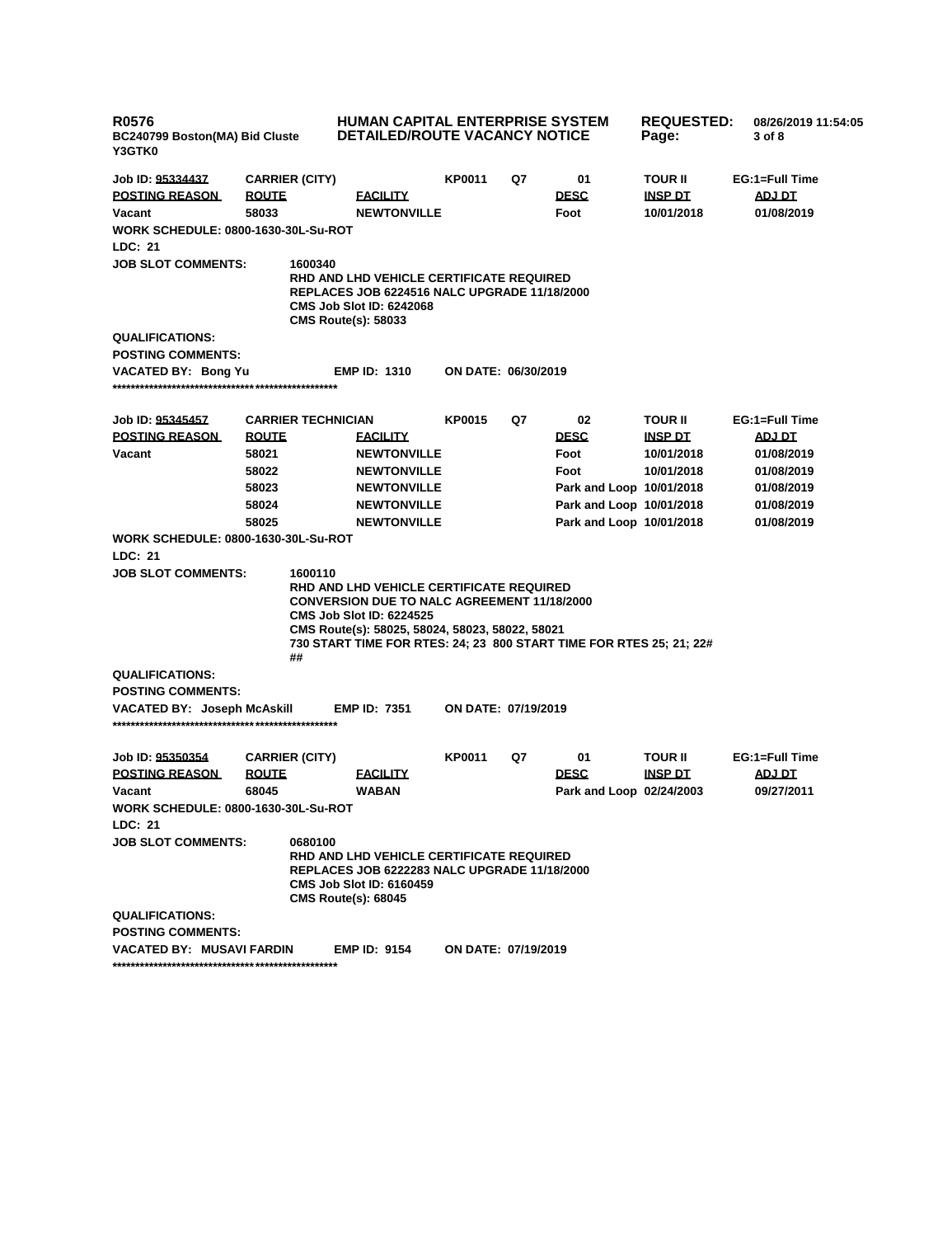| <b>R0576</b><br>BC240799 Boston(MA) Bid Cluste<br>Y3GTK0                                                                                                                                                                                                                                                  |                           | <b>HUMAN CAPITAL ENTERPRISE SYSTEM</b><br>DETAILED/ROUTE VACANCY NOTICE                                                                                                 |                            |    |                          | <b>REQUESTED:</b><br>Page: | 08/26/2019 11:54:05<br>3 of 8 |
|-----------------------------------------------------------------------------------------------------------------------------------------------------------------------------------------------------------------------------------------------------------------------------------------------------------|---------------------------|-------------------------------------------------------------------------------------------------------------------------------------------------------------------------|----------------------------|----|--------------------------|----------------------------|-------------------------------|
| Job ID: 95334437                                                                                                                                                                                                                                                                                          | <b>CARRIER (CITY)</b>     |                                                                                                                                                                         | KP0011                     | Q7 | 01                       | <b>TOUR II</b>             | EG:1=Full Time                |
| <b>POSTING REASON</b>                                                                                                                                                                                                                                                                                     | <b>ROUTE</b>              | <b>FACILITY</b>                                                                                                                                                         |                            |    | <b>DESC</b>              | <b>INSP DT</b>             | ADJ DT                        |
| Vacant                                                                                                                                                                                                                                                                                                    | 58033                     | <b>NEWTONVILLE</b>                                                                                                                                                      |                            |    | Foot                     | 10/01/2018                 | 01/08/2019                    |
| <b>WORK SCHEDULE: 0800-1630-30L-Su-ROT</b>                                                                                                                                                                                                                                                                |                           |                                                                                                                                                                         |                            |    |                          |                            |                               |
| LDC: 21                                                                                                                                                                                                                                                                                                   |                           |                                                                                                                                                                         |                            |    |                          |                            |                               |
| <b>JOB SLOT COMMENTS:</b>                                                                                                                                                                                                                                                                                 | 1600340                   | RHD AND LHD VEHICLE CERTIFICATE REQUIRED<br><b>REPLACES JOB 6224516 NALC UPGRADE 11/18/2000</b><br><b>CMS Job Slot ID: 6242068</b><br><b>CMS Route(s): 58033</b>        |                            |    |                          |                            |                               |
| <b>QUALIFICATIONS:</b>                                                                                                                                                                                                                                                                                    |                           |                                                                                                                                                                         |                            |    |                          |                            |                               |
| <b>POSTING COMMENTS:</b>                                                                                                                                                                                                                                                                                  |                           |                                                                                                                                                                         |                            |    |                          |                            |                               |
| VACATED BY: Bong Yu                                                                                                                                                                                                                                                                                       |                           | <b>EMP ID: 1310</b>                                                                                                                                                     | ON DATE: 06/30/2019        |    |                          |                            |                               |
| Job ID: 95345457                                                                                                                                                                                                                                                                                          | <b>CARRIER TECHNICIAN</b> |                                                                                                                                                                         | KP0015                     | Q7 | 02                       | <b>TOUR II</b>             | EG:1=Full Time                |
| <b>POSTING REASON</b>                                                                                                                                                                                                                                                                                     | <b>ROUTE</b>              | <b>FACILITY</b>                                                                                                                                                         |                            |    | <b>DESC</b>              | <b>INSP DT</b>             | <b>ADJ DT</b>                 |
| Vacant                                                                                                                                                                                                                                                                                                    | 58021                     | <b>NEWTONVILLE</b>                                                                                                                                                      |                            |    | Foot                     | 10/01/2018                 | 01/08/2019                    |
|                                                                                                                                                                                                                                                                                                           | 58022                     | <b>NEWTONVILLE</b>                                                                                                                                                      |                            |    | Foot                     | 10/01/2018                 | 01/08/2019                    |
|                                                                                                                                                                                                                                                                                                           | 58023                     | <b>NEWTONVILLE</b>                                                                                                                                                      |                            |    | Park and Loop 10/01/2018 |                            | 01/08/2019                    |
|                                                                                                                                                                                                                                                                                                           | 58024                     | <b>NEWTONVILLE</b>                                                                                                                                                      |                            |    | Park and Loop 10/01/2018 |                            | 01/08/2019                    |
|                                                                                                                                                                                                                                                                                                           | 58025                     | <b>NEWTONVILLE</b>                                                                                                                                                      |                            |    | Park and Loop 10/01/2018 |                            | 01/08/2019                    |
| <b>WORK SCHEDULE: 0800-1630-30L-Su-ROT</b>                                                                                                                                                                                                                                                                |                           |                                                                                                                                                                         |                            |    |                          |                            |                               |
| LDC: 21                                                                                                                                                                                                                                                                                                   |                           |                                                                                                                                                                         |                            |    |                          |                            |                               |
| <b>JOB SLOT COMMENTS:</b><br>1600110<br>RHD AND LHD VEHICLE CERTIFICATE REQUIRED<br><b>CONVERSION DUE TO NALC AGREEMENT 11/18/2000</b><br><b>CMS Job Slot ID: 6224525</b><br>CMS Route(s): 58025, 58024, 58023, 58022, 58021<br>730 START TIME FOR RTES: 24; 23 800 START TIME FOR RTES 25; 21; 22#<br>## |                           |                                                                                                                                                                         |                            |    |                          |                            |                               |
| <b>QUALIFICATIONS:</b>                                                                                                                                                                                                                                                                                    |                           |                                                                                                                                                                         |                            |    |                          |                            |                               |
| <b>POSTING COMMENTS:</b>                                                                                                                                                                                                                                                                                  |                           |                                                                                                                                                                         |                            |    |                          |                            |                               |
| VACATED BY: Joseph McAskill                                                                                                                                                                                                                                                                               |                           | <b>EMP ID: 7351</b>                                                                                                                                                     | <b>ON DATE: 07/19/2019</b> |    |                          |                            |                               |
| Job ID: 95350354                                                                                                                                                                                                                                                                                          | <b>CARRIER (CITY)</b>     |                                                                                                                                                                         | KP0011                     | Q7 | 01                       | <b>TOUR II</b>             | EG:1=Full Time                |
| <b>POSTING REASON</b>                                                                                                                                                                                                                                                                                     | <b>ROUTE</b>              | <b>FACILITY</b>                                                                                                                                                         |                            |    | <b>DESC</b>              | <b>INSP DT</b>             | <b>ADJ DT</b>                 |
| Vacant                                                                                                                                                                                                                                                                                                    | 68045                     | <b>WABAN</b>                                                                                                                                                            |                            |    | Park and Loop 02/24/2003 |                            | 09/27/2011                    |
| <b>WORK SCHEDULE: 0800-1630-30L-Su-ROT</b>                                                                                                                                                                                                                                                                |                           |                                                                                                                                                                         |                            |    |                          |                            |                               |
| LDC: 21                                                                                                                                                                                                                                                                                                   |                           |                                                                                                                                                                         |                            |    |                          |                            |                               |
| <b>JOB SLOT COMMENTS:</b>                                                                                                                                                                                                                                                                                 | 0680100                   | <b>RHD AND LHD VEHICLE CERTIFICATE REQUIRED</b><br><b>REPLACES JOB 6222283 NALC UPGRADE 11/18/2000</b><br><b>CMS Job Slot ID: 6160459</b><br><b>CMS Route(s): 68045</b> |                            |    |                          |                            |                               |
| <b>QUALIFICATIONS:</b>                                                                                                                                                                                                                                                                                    |                           |                                                                                                                                                                         |                            |    |                          |                            |                               |
| <b>POSTING COMMENTS:</b>                                                                                                                                                                                                                                                                                  |                           |                                                                                                                                                                         |                            |    |                          |                            |                               |
| VACATED BY: MUSAVI FARDIN                                                                                                                                                                                                                                                                                 |                           | <b>EMP ID: 9154</b>                                                                                                                                                     | <b>ON DATE: 07/19/2019</b> |    |                          |                            |                               |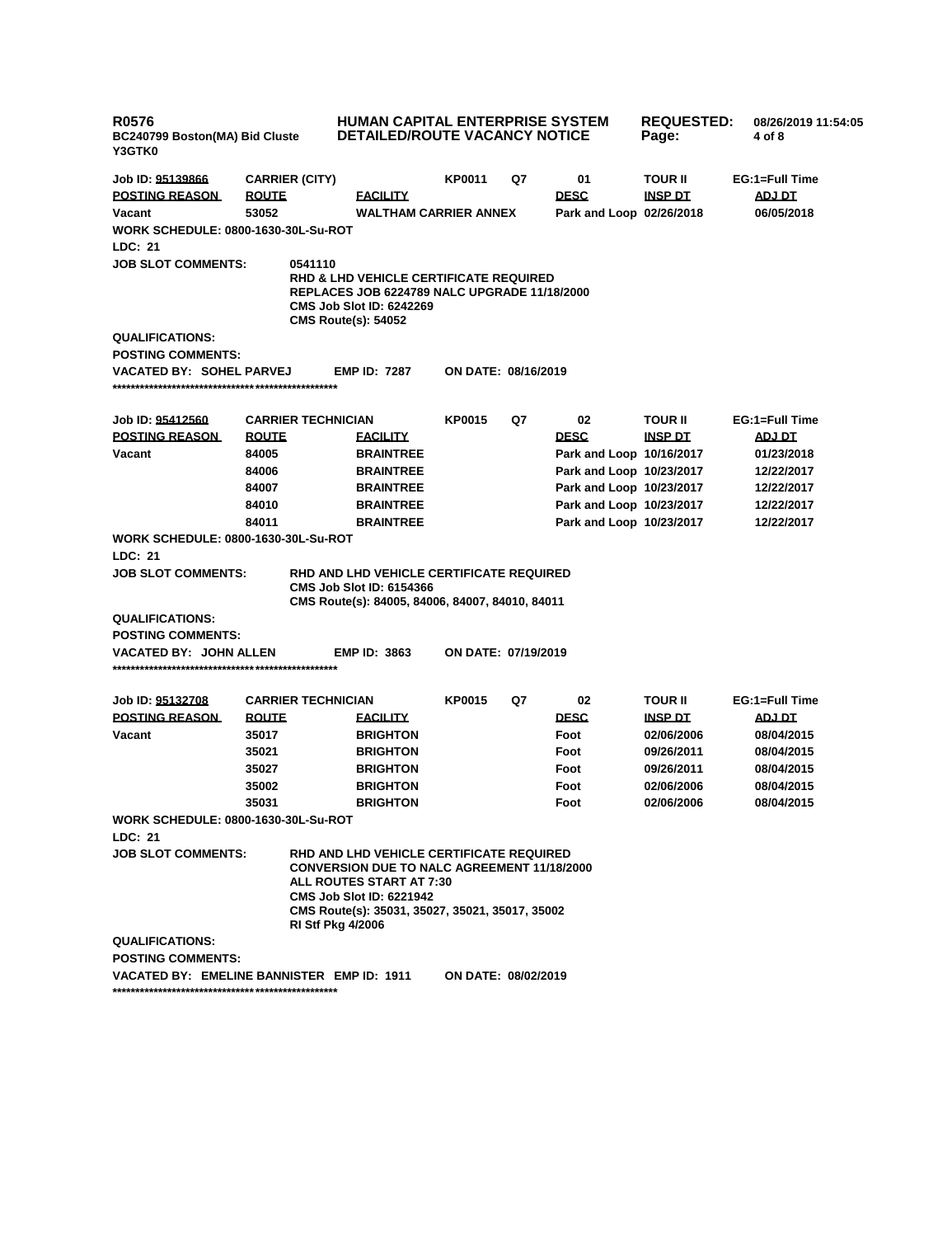| R0576<br>BC240799 Boston(MA) Bid Cluste<br><b>Y3GTK0</b>                                         |                           | <b>HUMAN CAPITAL ENTERPRISE SYSTEM</b><br><b>DETAILED/ROUTE VACANCY NOTICE</b>                                                                                                                                                               |                            | <b>REQUESTED:</b><br>Page: | 08/26/2019 11:54:05<br>4 of 8                        |                   |                          |
|--------------------------------------------------------------------------------------------------|---------------------------|----------------------------------------------------------------------------------------------------------------------------------------------------------------------------------------------------------------------------------------------|----------------------------|----------------------------|------------------------------------------------------|-------------------|--------------------------|
| Job ID: 95139866                                                                                 | <b>CARRIER (CITY)</b>     |                                                                                                                                                                                                                                              | KP0011                     | Q7                         | 01                                                   | TOUR II           | EG:1=Full Time           |
| <b>POSTING REASON</b>                                                                            | <b>ROUTE</b>              | <b>FACILITY</b>                                                                                                                                                                                                                              |                            |                            | <b>DESC</b>                                          | <b>INSP DT</b>    | ADJ DT                   |
| Vacant                                                                                           | 53052                     | <b>WALTHAM CARRIER ANNEX</b>                                                                                                                                                                                                                 |                            |                            | Park and Loop 02/26/2018                             |                   | 06/05/2018               |
| <b>WORK SCHEDULE: 0800-1630-30L-Su-ROT</b>                                                       |                           |                                                                                                                                                                                                                                              |                            |                            |                                                      |                   |                          |
| LDC: 21                                                                                          |                           |                                                                                                                                                                                                                                              |                            |                            |                                                      |                   |                          |
| <b>JOB SLOT COMMENTS:</b>                                                                        |                           | 0541110<br><b>RHD &amp; LHD VEHICLE CERTIFICATE REQUIRED</b><br><b>REPLACES JOB 6224789 NALC UPGRADE 11/18/2000</b><br><b>CMS Job Slot ID: 6242269</b><br><b>CMS Route(s): 54052</b>                                                         |                            |                            |                                                      |                   |                          |
| <b>QUALIFICATIONS:</b>                                                                           |                           |                                                                                                                                                                                                                                              |                            |                            |                                                      |                   |                          |
| <b>POSTING COMMENTS:</b>                                                                         |                           |                                                                                                                                                                                                                                              |                            |                            |                                                      |                   |                          |
| VACATED BY: SOHEL PARVEJ                                                                         |                           | <b>EMP ID: 7287</b>                                                                                                                                                                                                                          | ON DATE: 08/16/2019        |                            |                                                      |                   |                          |
|                                                                                                  |                           |                                                                                                                                                                                                                                              |                            |                            |                                                      |                   |                          |
| Job ID: 95412560<br><b>POSTING REASON</b>                                                        | <b>CARRIER TECHNICIAN</b> | <b>FACILITY</b>                                                                                                                                                                                                                              | <b>KP0015</b>              | Q7                         | 02                                                   | <b>TOUR II</b>    | EG:1=Full Time           |
|                                                                                                  | <b>ROUTE</b>              |                                                                                                                                                                                                                                              |                            |                            | <b>DESC</b>                                          | <b>INSP DT</b>    | <b>ADJ DT</b>            |
| Vacant                                                                                           | 84005                     | <b>BRAINTREE</b>                                                                                                                                                                                                                             |                            |                            | Park and Loop 10/16/2017                             |                   | 01/23/2018               |
|                                                                                                  | 84006                     | <b>BRAINTREE</b>                                                                                                                                                                                                                             |                            |                            | Park and Loop 10/23/2017                             |                   | 12/22/2017               |
|                                                                                                  | 84007                     | <b>BRAINTREE</b>                                                                                                                                                                                                                             |                            |                            | Park and Loop 10/23/2017                             |                   | 12/22/2017               |
|                                                                                                  | 84010<br>84011            | <b>BRAINTREE</b><br><b>BRAINTREE</b>                                                                                                                                                                                                         |                            |                            | Park and Loop 10/23/2017<br>Park and Loop 10/23/2017 |                   | 12/22/2017<br>12/22/2017 |
| <b>WORK SCHEDULE: 0800-1630-30L-Su-ROT</b>                                                       |                           |                                                                                                                                                                                                                                              |                            |                            |                                                      |                   |                          |
| LDC: 21                                                                                          |                           |                                                                                                                                                                                                                                              |                            |                            |                                                      |                   |                          |
| <b>JOB SLOT COMMENTS:</b>                                                                        |                           | RHD AND LHD VEHICLE CERTIFICATE REQUIRED<br><b>CMS Job Slot ID: 6154366</b><br>CMS Route(s): 84005, 84006, 84007, 84010, 84011                                                                                                               |                            |                            |                                                      |                   |                          |
| <b>QUALIFICATIONS:</b>                                                                           |                           |                                                                                                                                                                                                                                              |                            |                            |                                                      |                   |                          |
| <b>POSTING COMMENTS:</b>                                                                         |                           |                                                                                                                                                                                                                                              |                            |                            |                                                      |                   |                          |
| VACATED BY: JOHN ALLEN                                                                           |                           | <b>EMP ID: 3863</b>                                                                                                                                                                                                                          | <b>ON DATE: 07/19/2019</b> |                            |                                                      |                   |                          |
|                                                                                                  |                           |                                                                                                                                                                                                                                              |                            |                            |                                                      |                   |                          |
| Job ID: 95132708                                                                                 | <b>CARRIER TECHNICIAN</b> |                                                                                                                                                                                                                                              | KP0015                     | Q7                         | 02                                                   | TOUR II           | EG:1=Full Time           |
| <b>POSTING REASON</b>                                                                            | <b>ROUTE</b>              | <b>FACILITY</b>                                                                                                                                                                                                                              |                            |                            | <b>DESC</b>                                          | <b>INSP DT</b>    | <b>ADJ DT</b>            |
| Vacant                                                                                           | 35017                     | <b>BRIGHTON</b>                                                                                                                                                                                                                              |                            |                            | Foot                                                 | 02/06/2006        | 08/04/2015               |
|                                                                                                  | 35021                     | <b>BRIGHTON</b>                                                                                                                                                                                                                              |                            |                            | Foot                                                 | 09/26/2011        | 08/04/2015               |
|                                                                                                  | 35027                     | <b>BRIGHTON</b>                                                                                                                                                                                                                              |                            |                            | Foot                                                 | 09/26/2011        | 08/04/2015               |
|                                                                                                  | 35002                     | <b>BRIGHTON</b>                                                                                                                                                                                                                              |                            |                            | Foot                                                 | <b>02/06/2006</b> | 08/04/2015               |
|                                                                                                  | 35031                     | <b>BRIGHTON</b>                                                                                                                                                                                                                              |                            |                            | Foot                                                 | 02/06/2006        | 08/04/2015               |
| <b>WORK SCHEDULE: 0800-1630-30L-Su-ROT</b>                                                       |                           |                                                                                                                                                                                                                                              |                            |                            |                                                      |                   |                          |
| LDC: 21<br><b>JOB SLOT COMMENTS:</b>                                                             |                           | RHD AND LHD VEHICLE CERTIFICATE REQUIRED<br><b>CONVERSION DUE TO NALC AGREEMENT 11/18/2000</b><br>ALL ROUTES START AT 7:30<br><b>CMS Job Slot ID: 6221942</b><br>CMS Route(s): 35031, 35027, 35021, 35017, 35002<br><b>RI Stf Pkg 4/2006</b> |                            |                            |                                                      |                   |                          |
| <b>QUALIFICATIONS:</b><br><b>POSTING COMMENTS:</b><br>VACATED BY: EMELINE BANNISTER EMP ID: 1911 |                           |                                                                                                                                                                                                                                              | ON DATE: 08/02/2019        |                            |                                                      |                   |                          |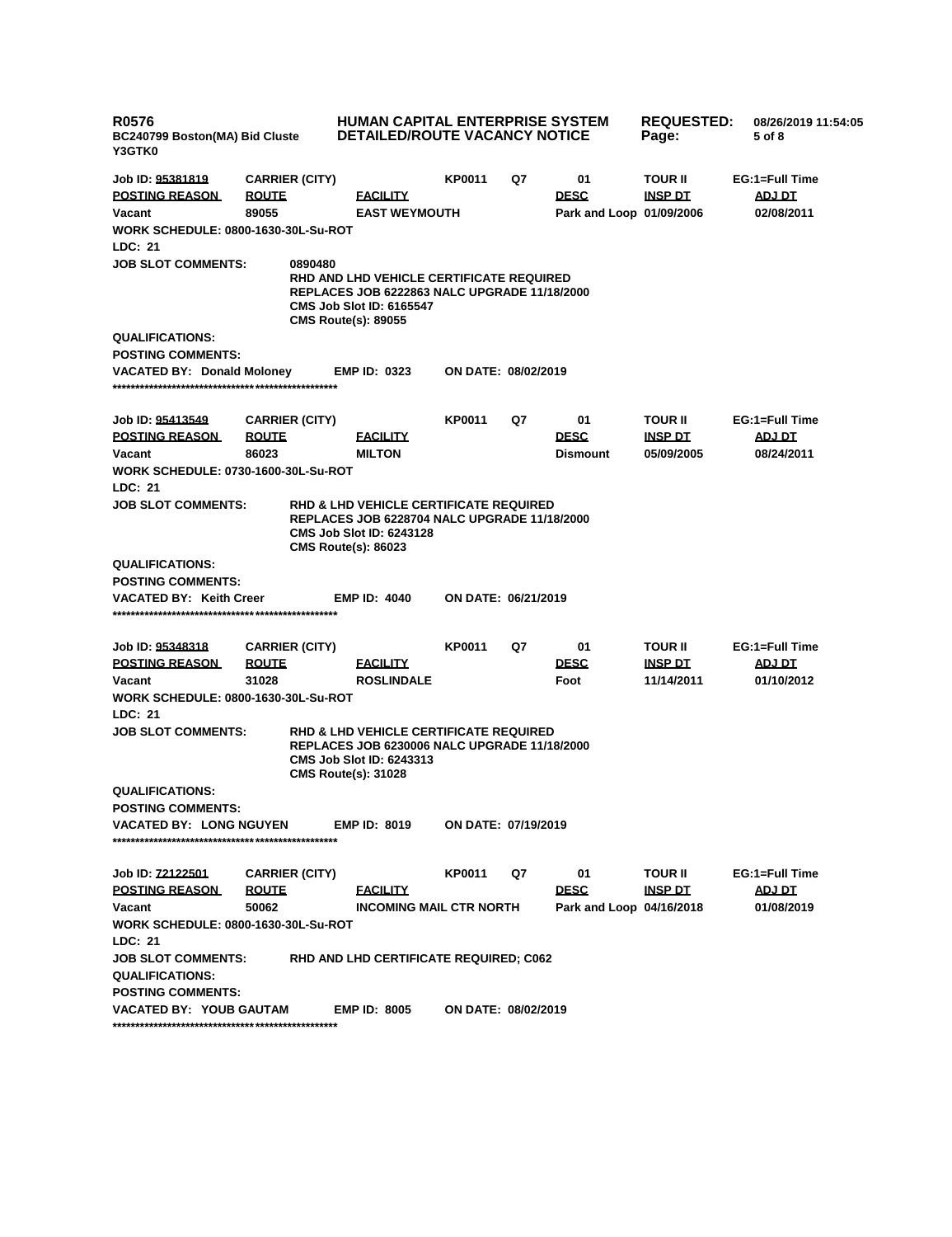| <b>R0576</b><br>BC240799 Boston(MA) Bid Cluste<br>Y3GTK0                                                                                                                                               |                       | <b>HUMAN CAPITAL ENTERPRISE SYSTEM</b><br><b>DETAILED/ROUTE VACANCY NOTICE</b>                                                                                            |                            | <b>REQUESTED:</b><br>Page: | 08/26/2019 11:54:05<br>5 of 8 |                |                |
|--------------------------------------------------------------------------------------------------------------------------------------------------------------------------------------------------------|-----------------------|---------------------------------------------------------------------------------------------------------------------------------------------------------------------------|----------------------------|----------------------------|-------------------------------|----------------|----------------|
| Job ID: 95381819                                                                                                                                                                                       | <b>CARRIER (CITY)</b> |                                                                                                                                                                           | KP0011                     | Q7                         | 01                            | <b>TOUR II</b> | EG:1=Full Time |
| <b>POSTING REASON</b>                                                                                                                                                                                  | <b>ROUTE</b>          | <b>FACILITY</b>                                                                                                                                                           |                            |                            | <b>DESC</b>                   | <b>INSP DT</b> | ADJ DT         |
| Vacant                                                                                                                                                                                                 | 89055                 | <b>EAST WEYMOUTH</b>                                                                                                                                                      |                            |                            | Park and Loop 01/09/2006      |                | 02/08/2011     |
| <b>WORK SCHEDULE: 0800-1630-30L-Su-ROT</b>                                                                                                                                                             |                       |                                                                                                                                                                           |                            |                            |                               |                |                |
| LDC: 21                                                                                                                                                                                                |                       |                                                                                                                                                                           |                            |                            |                               |                |                |
| <b>JOB SLOT COMMENTS:</b>                                                                                                                                                                              | 0890480               | <b>RHD AND LHD VEHICLE CERTIFICATE REQUIRED</b><br><b>REPLACES JOB 6222863 NALC UPGRADE 11/18/2000</b><br><b>CMS Job Slot ID: 6165547</b><br><b>CMS Route(s): 89055</b>   |                            |                            |                               |                |                |
| <b>QUALIFICATIONS:</b>                                                                                                                                                                                 |                       |                                                                                                                                                                           |                            |                            |                               |                |                |
| <b>POSTING COMMENTS:</b>                                                                                                                                                                               |                       |                                                                                                                                                                           |                            |                            |                               |                |                |
| <b>VACATED BY: Donald Moloney</b>                                                                                                                                                                      |                       | <b>EMP ID: 0323</b>                                                                                                                                                       | <b>ON DATE: 08/02/2019</b> |                            |                               |                |                |
| Job ID: 95413549                                                                                                                                                                                       | <b>CARRIER (CITY)</b> |                                                                                                                                                                           | KP0011                     | Q7                         | 01                            | <b>TOUR II</b> | EG:1=Full Time |
| <b>POSTING REASON</b>                                                                                                                                                                                  | <u>ROUTE</u>          | <b>FACILITY</b>                                                                                                                                                           |                            |                            | <b>DESC</b>                   | <b>INSP DT</b> | <b>ADJ DT</b>  |
| Vacant                                                                                                                                                                                                 | 86023                 | <b>MILTON</b>                                                                                                                                                             |                            |                            | <b>Dismount</b>               | 05/09/2005     | 08/24/2011     |
| <b>WORK SCHEDULE: 0730-1600-30L-Su-ROT</b>                                                                                                                                                             |                       |                                                                                                                                                                           |                            |                            |                               |                |                |
| LDC: 21                                                                                                                                                                                                |                       |                                                                                                                                                                           |                            |                            |                               |                |                |
| <b>JOB SLOT COMMENTS:</b>                                                                                                                                                                              |                       | <b>RHD &amp; LHD VEHICLE CERTIFICATE REQUIRED</b><br><b>REPLACES JOB 6228704 NALC UPGRADE 11/18/2000</b><br><b>CMS Job Slot ID: 6243128</b><br><b>CMS Route(s): 86023</b> |                            |                            |                               |                |                |
| <b>QUALIFICATIONS:</b>                                                                                                                                                                                 |                       |                                                                                                                                                                           |                            |                            |                               |                |                |
| <b>POSTING COMMENTS:</b>                                                                                                                                                                               |                       |                                                                                                                                                                           |                            |                            |                               |                |                |
| <b>VACATED BY: Keith Creer</b>                                                                                                                                                                         |                       | <b>EMP ID: 4040</b>                                                                                                                                                       | ON DATE: 06/21/2019        |                            |                               |                |                |
| Job ID: 95348318                                                                                                                                                                                       | <b>CARRIER (CITY)</b> |                                                                                                                                                                           | KP0011                     | Q7                         | 01                            | <b>TOUR II</b> | EG:1=Full Time |
| <b>POSTING REASON</b>                                                                                                                                                                                  | <b>ROUTE</b>          | <b>FACILITY</b>                                                                                                                                                           |                            |                            | <b>DESC</b>                   | <b>INSP DT</b> | <b>ADJ DT</b>  |
| Vacant                                                                                                                                                                                                 | 31028                 | <b>ROSLINDALE</b>                                                                                                                                                         |                            |                            | Foot                          | 11/14/2011     | 01/10/2012     |
| <b>WORK SCHEDULE: 0800-1630-30L-Su-ROT</b><br>LDC: 21                                                                                                                                                  |                       |                                                                                                                                                                           |                            |                            |                               |                |                |
| <b>JOB SLOT COMMENTS:</b><br><b>RHD &amp; LHD VEHICLE CERTIFICATE REQUIRED</b><br><b>REPLACES JOB 6230006 NALC UPGRADE 11/18/2000</b><br><b>CMS Job Slot ID: 6243313</b><br><b>CMS Route(s): 31028</b> |                       |                                                                                                                                                                           |                            |                            |                               |                |                |
| <b>QUALIFICATIONS:</b>                                                                                                                                                                                 |                       |                                                                                                                                                                           |                            |                            |                               |                |                |
| <b>POSTING COMMENTS:</b>                                                                                                                                                                               |                       |                                                                                                                                                                           |                            |                            |                               |                |                |
| <b>VACATED BY: LONG NGUYEN</b>                                                                                                                                                                         |                       | <b>EMP ID: 8019</b>                                                                                                                                                       | ON DATE: 07/19/2019        |                            |                               |                |                |
| Job ID: 72122501                                                                                                                                                                                       | <b>CARRIER (CITY)</b> |                                                                                                                                                                           | KP0011                     | Q7                         | 01                            | <b>TOUR II</b> | EG:1=Full Time |
| <b>POSTING REASON</b>                                                                                                                                                                                  | <b>ROUTE</b>          | <b>FACILITY</b>                                                                                                                                                           |                            |                            | <b>DESC</b>                   | <u>INSP DT</u> | ADJ DT         |
| Vacant                                                                                                                                                                                                 | 50062                 | <b>INCOMING MAIL CTR NORTH</b>                                                                                                                                            |                            |                            | Park and Loop 04/16/2018      |                | 01/08/2019     |
| <b>WORK SCHEDULE: 0800-1630-30L-Su-ROT</b>                                                                                                                                                             |                       |                                                                                                                                                                           |                            |                            |                               |                |                |
| LDC: 21                                                                                                                                                                                                |                       |                                                                                                                                                                           |                            |                            |                               |                |                |
| <b>JOB SLOT COMMENTS:</b><br><b>QUALIFICATIONS:</b>                                                                                                                                                    |                       | RHD AND LHD CERTIFICATE REQUIRED; C062                                                                                                                                    |                            |                            |                               |                |                |
| <b>POSTING COMMENTS:</b><br><b>VACATED BY: YOUB GAUTAM</b>                                                                                                                                             |                       | <b>EMP ID: 8005</b>                                                                                                                                                       | ON DATE: 08/02/2019        |                            |                               |                |                |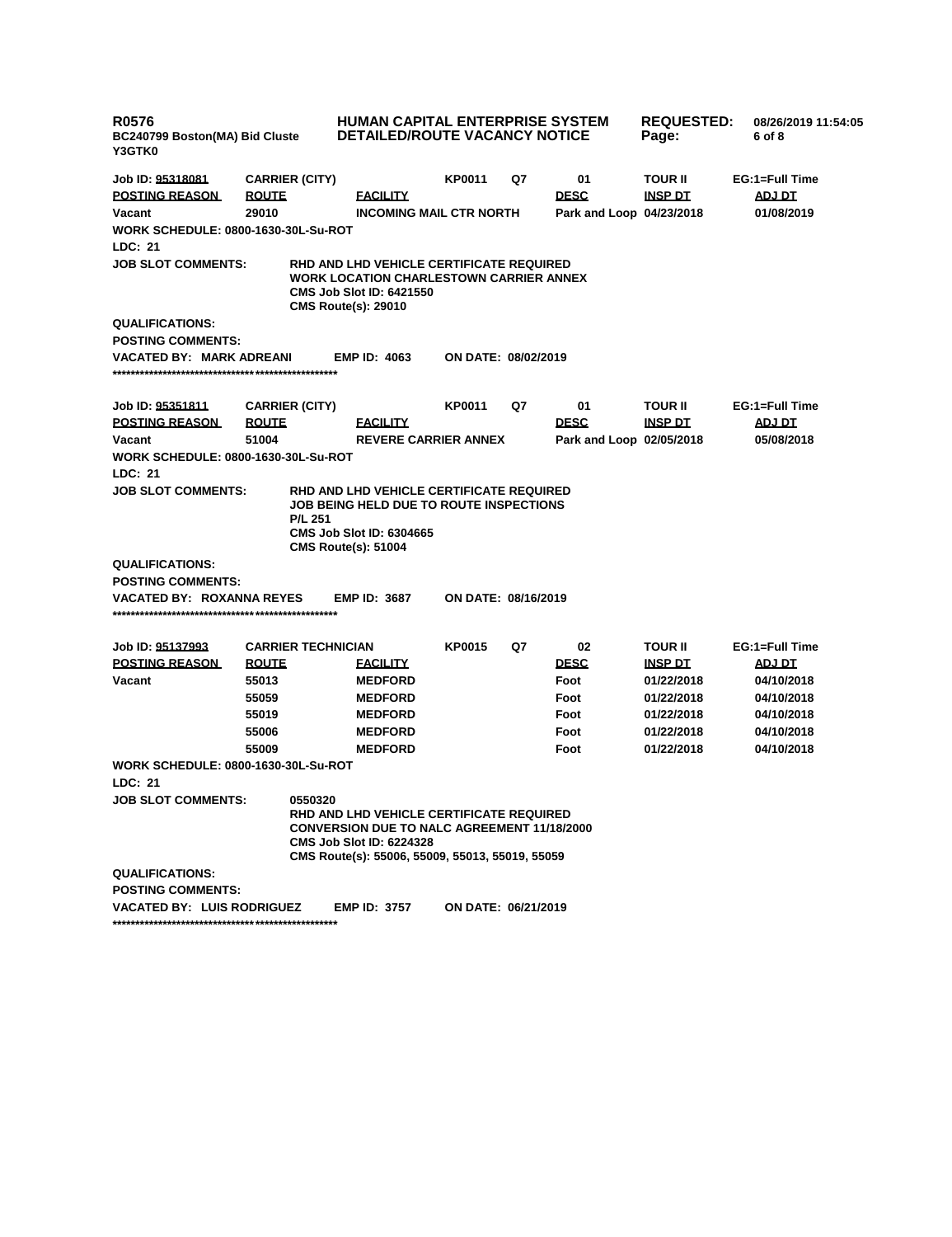| <b>R0576</b><br>BC240799 Boston(MA) Bid Cluste<br><b>Y3GTK0</b> |                           | <b>HUMAN CAPITAL ENTERPRISE SYSTEM</b><br><b>DETAILED/ROUTE VACANCY NOTICE</b>                                                                                                       |                     | <b>REQUESTED:</b><br>Page: | 08/26/2019 11:54:05<br>6 of 8 |                |                |
|-----------------------------------------------------------------|---------------------------|--------------------------------------------------------------------------------------------------------------------------------------------------------------------------------------|---------------------|----------------------------|-------------------------------|----------------|----------------|
| Job ID: <u>95318081</u>                                         | <b>CARRIER (CITY)</b>     |                                                                                                                                                                                      | KP0011              | Q7                         | 01                            | TOUR II        | EG:1=Full Time |
| <b>POSTING REASON</b>                                           | <b>ROUTE</b>              | <b>FACILITY</b>                                                                                                                                                                      |                     |                            | <b>DESC</b>                   | <b>INSP DT</b> | ADJ DT         |
| Vacant                                                          | 29010                     | <b>INCOMING MAIL CTR NORTH</b>                                                                                                                                                       |                     |                            | Park and Loop 04/23/2018      |                | 01/08/2019     |
| <b>WORK SCHEDULE: 0800-1630-30L-Su-ROT</b>                      |                           |                                                                                                                                                                                      |                     |                            |                               |                |                |
| LDC: 21                                                         |                           |                                                                                                                                                                                      |                     |                            |                               |                |                |
| <b>JOB SLOT COMMENTS:</b>                                       |                           | RHD AND LHD VEHICLE CERTIFICATE REQUIRED<br><b>WORK LOCATION CHARLESTOWN CARRIER ANNEX</b><br>CMS Job Slot ID: 6421550<br><b>CMS Route(s): 29010</b>                                 |                     |                            |                               |                |                |
| <b>QUALIFICATIONS:</b><br><b>POSTING COMMENTS:</b>              |                           |                                                                                                                                                                                      |                     |                            |                               |                |                |
| VACATED BY: MARK ADREANI                                        |                           | <b>EMP ID: 4063</b>                                                                                                                                                                  | ON DATE: 08/02/2019 |                            |                               |                |                |
| Job ID: <u>95351811</u>                                         | <b>CARRIER (CITY)</b>     |                                                                                                                                                                                      | KP0011              | Q7                         | 01                            | TOUR II        | EG:1=Full Time |
| <b>POSTING REASON</b>                                           | <b>ROUTE</b>              | <b>FACILITY</b>                                                                                                                                                                      |                     |                            | <b>DESC</b>                   | <b>INSP DT</b> | <u>ADJ DT</u>  |
| Vacant                                                          | 51004                     | <b>REVERE CARRIER ANNEX</b>                                                                                                                                                          |                     |                            | Park and Loop 02/05/2018      |                | 05/08/2018     |
| <b>WORK SCHEDULE: 0800-1630-30L-Su-ROT</b>                      |                           |                                                                                                                                                                                      |                     |                            |                               |                |                |
| LDC: 21                                                         |                           |                                                                                                                                                                                      |                     |                            |                               |                |                |
| <b>JOB SLOT COMMENTS:</b>                                       | <b>P/L 251</b>            | RHD AND LHD VEHICLE CERTIFICATE REQUIRED<br>JOB BEING HELD DUE TO ROUTE INSPECTIONS<br><b>CMS Job Slot ID: 6304665</b><br><b>CMS Route(s): 51004</b>                                 |                     |                            |                               |                |                |
| <b>QUALIFICATIONS:</b>                                          |                           |                                                                                                                                                                                      |                     |                            |                               |                |                |
| <b>POSTING COMMENTS:</b>                                        |                           |                                                                                                                                                                                      |                     |                            |                               |                |                |
| VACATED BY: ROXANNA REYES                                       |                           | <b>EMP ID: 3687</b>                                                                                                                                                                  | ON DATE: 08/16/2019 |                            |                               |                |                |
| Job ID: <u>95137993</u>                                         | <b>CARRIER TECHNICIAN</b> |                                                                                                                                                                                      | <b>KP0015</b>       | Q7                         | 02                            | <b>TOUR II</b> | EG:1=Full Time |
| <b>POSTING REASON</b>                                           | <b>ROUTE</b>              | <b>FACILITY</b>                                                                                                                                                                      |                     |                            | <b>DESC</b>                   | <u>INSP DT</u> | <b>ADJ DT</b>  |
| Vacant                                                          | 55013                     | <b>MEDFORD</b>                                                                                                                                                                       |                     |                            | Foot                          | 01/22/2018     | 04/10/2018     |
|                                                                 | 55059                     | <b>MEDFORD</b>                                                                                                                                                                       |                     |                            | Foot                          | 01/22/2018     | 04/10/2018     |
|                                                                 | 55019                     | <b>MEDFORD</b>                                                                                                                                                                       |                     |                            | Foot                          | 01/22/2018     | 04/10/2018     |
|                                                                 | 55006                     | <b>MEDFORD</b>                                                                                                                                                                       |                     |                            | Foot                          | 01/22/2018     | 04/10/2018     |
|                                                                 | 55009                     | <b>MEDFORD</b>                                                                                                                                                                       |                     |                            | Foot                          | 01/22/2018     | 04/10/2018     |
| <b>WORK SCHEDULE: 0800-1630-30L-Su-ROT</b>                      |                           |                                                                                                                                                                                      |                     |                            |                               |                |                |
| LDC: 21                                                         |                           |                                                                                                                                                                                      |                     |                            |                               |                |                |
| JOB SLOT COMMENTS:                                              | 0550320                   | RHD AND LHD VEHICLE CERTIFICATE REQUIRED<br><b>CONVERSION DUE TO NALC AGREEMENT 11/18/2000</b><br><b>CMS Job Slot ID: 6224328</b><br>CMS Route(s): 55006, 55009, 55013, 55019, 55059 |                     |                            |                               |                |                |
| <b>QUALIFICATIONS:</b>                                          |                           |                                                                                                                                                                                      |                     |                            |                               |                |                |
| <b>POSTING COMMENTS:</b>                                        |                           |                                                                                                                                                                                      |                     |                            |                               |                |                |
| VACATED BY: LUIS RODRIGUEZ                                      |                           | <b>EMP ID: 3757</b>                                                                                                                                                                  | ON DATE: 06/21/2019 |                            |                               |                |                |
|                                                                 |                           |                                                                                                                                                                                      |                     |                            |                               |                |                |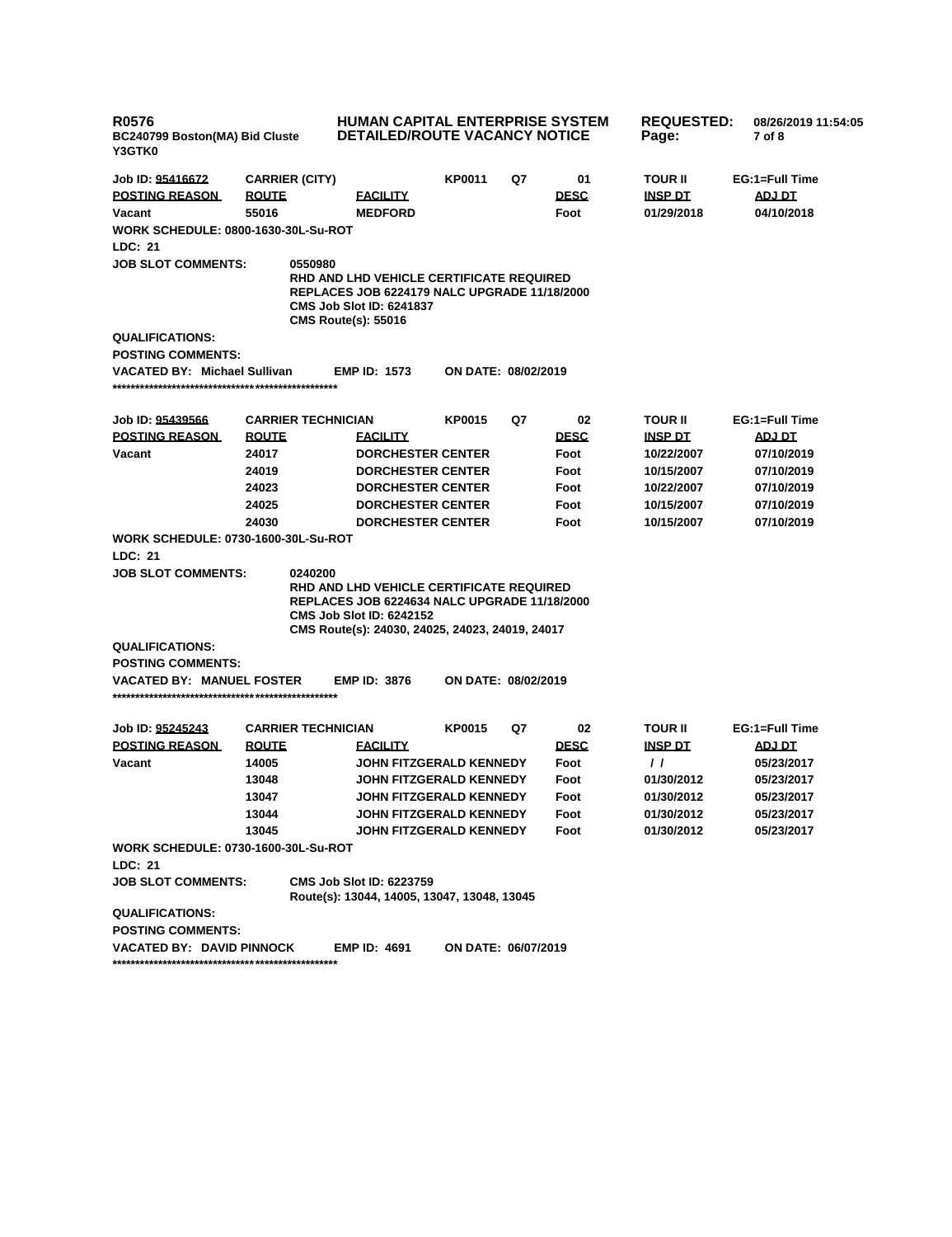| <b>R0576</b><br>BC240799 Boston(MA) Bid Cluste<br>Y3GTK0 |                           | <b>HUMAN CAPITAL ENTERPRISE SYSTEM</b><br><b>DETAILED/ROUTE VACANCY NOTICE</b>                                                                                                               |                                |    |             | <b>REQUESTED:</b><br>Page: | 08/26/2019 11:54:05<br>7 of 8 |
|----------------------------------------------------------|---------------------------|----------------------------------------------------------------------------------------------------------------------------------------------------------------------------------------------|--------------------------------|----|-------------|----------------------------|-------------------------------|
| Job ID: 95416672                                         | <b>CARRIER (CITY)</b>     |                                                                                                                                                                                              | <b>KP0011</b>                  | Q7 | 01          | <b>TOUR II</b>             | EG:1=Full Time                |
| <b>POSTING REASON</b>                                    | <b>ROUTE</b>              | <b>FACILITY</b>                                                                                                                                                                              |                                |    | <b>DESC</b> | <b>INSP DT</b>             | ADJ DT                        |
| Vacant                                                   | 55016                     | <b>MEDFORD</b>                                                                                                                                                                               |                                |    | Foot        | 01/29/2018                 | 04/10/2018                    |
| <b>WORK SCHEDULE: 0800-1630-30L-Su-ROT</b><br>LDC: 21    |                           |                                                                                                                                                                                              |                                |    |             |                            |                               |
| <b>JOB SLOT COMMENTS:</b>                                | 0550980                   | <b>RHD AND LHD VEHICLE CERTIFICATE REQUIRED</b><br><b>REPLACES JOB 6224179 NALC UPGRADE 11/18/2000</b><br><b>CMS Job Slot ID: 6241837</b><br><b>CMS Route(s): 55016</b>                      |                                |    |             |                            |                               |
| <b>QUALIFICATIONS:</b>                                   |                           |                                                                                                                                                                                              |                                |    |             |                            |                               |
| <b>POSTING COMMENTS:</b>                                 |                           |                                                                                                                                                                                              |                                |    |             |                            |                               |
| <b>VACATED BY: Michael Sullivan</b>                      |                           | <b>EMP ID: 1573</b>                                                                                                                                                                          | <b>ON DATE: 08/02/2019</b>     |    |             |                            |                               |
| Job ID: 95439566                                         | <b>CARRIER TECHNICIAN</b> |                                                                                                                                                                                              | <b>KP0015</b>                  | Q7 | 02          | <b>TOUR II</b>             | EG:1=Full Time                |
| <b>POSTING REASON</b>                                    | <b>ROUTE</b>              | <b>FACILITY</b>                                                                                                                                                                              |                                |    | <b>DESC</b> | <b>INSP DT</b>             | <b>ADJ DT</b>                 |
| Vacant                                                   | 24017                     | <b>DORCHESTER CENTER</b>                                                                                                                                                                     |                                |    | Foot        | 10/22/2007                 | 07/10/2019                    |
|                                                          | 24019                     | <b>DORCHESTER CENTER</b>                                                                                                                                                                     |                                |    | Foot        | 10/15/2007                 | 07/10/2019                    |
|                                                          | 24023                     | <b>DORCHESTER CENTER</b>                                                                                                                                                                     |                                |    | Foot        | 10/22/2007                 | 07/10/2019                    |
|                                                          | 24025                     | <b>DORCHESTER CENTER</b>                                                                                                                                                                     |                                |    | Foot        | 10/15/2007                 | 07/10/2019                    |
|                                                          | 24030                     | <b>DORCHESTER CENTER</b>                                                                                                                                                                     |                                |    | Foot        | 10/15/2007                 | 07/10/2019                    |
| WORK SCHEDULE: 0730-1600-30L-Su-ROT                      |                           |                                                                                                                                                                                              |                                |    |             |                            |                               |
| LDC: 21                                                  |                           |                                                                                                                                                                                              |                                |    |             |                            |                               |
| <b>JOB SLOT COMMENTS:</b>                                | 0240200                   | <b>RHD AND LHD VEHICLE CERTIFICATE REQUIRED</b><br><b>REPLACES JOB 6224634 NALC UPGRADE 11/18/2000</b><br><b>CMS Job Slot ID: 6242152</b><br>CMS Route(s): 24030, 24025, 24023, 24019, 24017 |                                |    |             |                            |                               |
| <b>QUALIFICATIONS:</b>                                   |                           |                                                                                                                                                                                              |                                |    |             |                            |                               |
| <b>POSTING COMMENTS:</b>                                 |                           |                                                                                                                                                                                              |                                |    |             |                            |                               |
| <b>VACATED BY: MANUEL FOSTER</b>                         |                           | <b>EMP ID: 3876</b>                                                                                                                                                                          | ON DATE: 08/02/2019            |    |             |                            |                               |
| Job ID: 95245243                                         | <b>CARRIER TECHNICIAN</b> |                                                                                                                                                                                              | <b>KP0015</b>                  | Q7 | 02          | <b>TOUR II</b>             | EG:1=Full Time                |
| <b>POSTING REASON</b>                                    | <b>ROUTE</b>              | <b>FACILITY</b>                                                                                                                                                                              |                                |    | <b>DESC</b> | <b>INSP DT</b>             | <u>ADJ DT</u>                 |
| Vacant                                                   | 14005                     |                                                                                                                                                                                              | <b>JOHN FITZGERALD KENNEDY</b> |    | Foot        | $\prime$                   | 05/23/2017                    |
|                                                          | 13048                     |                                                                                                                                                                                              | JOHN FITZGERALD KENNEDY        |    | Foot        | 01/30/2012                 | 05/23/2017                    |
|                                                          | 13047                     |                                                                                                                                                                                              | <b>JOHN FITZGERALD KENNEDY</b> |    | Foot        | 01/30/2012                 | 05/23/2017                    |
|                                                          | 13044                     |                                                                                                                                                                                              | JOHN FITZGERALD KENNEDY        |    | Foot        | 01/30/2012                 | 05/23/2017                    |
|                                                          | 13045                     |                                                                                                                                                                                              | JOHN FITZGERALD KENNEDY        |    | Foot        | 01/30/2012                 | 05/23/2017                    |
| <b>WORK SCHEDULE: 0730-1600-30L-Su-ROT</b>               |                           |                                                                                                                                                                                              |                                |    |             |                            |                               |
| LDC: 21                                                  |                           |                                                                                                                                                                                              |                                |    |             |                            |                               |
| <b>JOB SLOT COMMENTS:</b>                                |                           | <b>CMS Job Slot ID: 6223759</b><br>Route(s): 13044, 14005, 13047, 13048, 13045                                                                                                               |                                |    |             |                            |                               |
| <b>QUALIFICATIONS:</b>                                   |                           |                                                                                                                                                                                              |                                |    |             |                            |                               |
| <b>POSTING COMMENTS:</b>                                 |                           |                                                                                                                                                                                              |                                |    |             |                            |                               |
| <b>VACATED BY: DAVID PINNOCK</b>                         |                           | <b>EMP ID: 4691</b>                                                                                                                                                                          | ON DATE: 06/07/2019            |    |             |                            |                               |